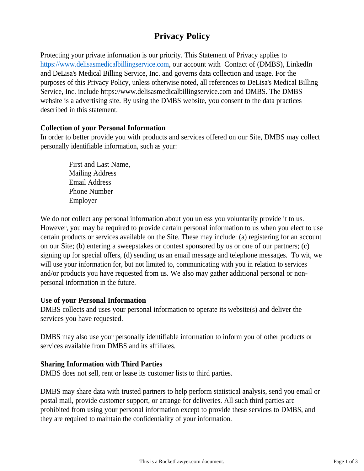# **Privacy Policy**

Protecting your private information is our priority. This Statement of Privacy applies to [https://www.delisasmedicalbillingservice.com](https://www.delisasmedicalbillingservice.com/), our account with Contact of (DMBS), LinkedIn and DeLisa's Medical Billing Service, Inc. and governs data collection and usage. For the purposes of this Privacy Policy, unless otherwise noted, all references to DeLisa's Medical Billing Service, Inc. include https://www.delisasmedicalbillingservice.com and DMBS. The DMBS website is a advertising site. By using the DMBS website, you consent to the data practices described in this statement.

#### **Collection of your Personal Information**

In order to better provide you with products and services offered on our Site, DMBS may collect personally identifiable information, such as your:

> First and Last Name, Mailing Address Email Address Phone Number Employer

We do not collect any personal information about you unless you voluntarily provide it to us. However, you may be required to provide certain personal information to us when you elect to use certain products or services available on the Site. These may include: (a) registering for an account on our Site; (b) entering a sweepstakes or contest sponsored by us or one of our partners; (c) signing up for special offers, (d) sending us an email message and telephone messages. To wit, we will use your information for, but not limited to, communicating with you in relation to services and/or products you have requested from us. We also may gather additional personal or nonpersonal information in the future.

# **Use of your Personal Information**

DMBS collects and uses your personal information to operate its website(s) and deliver the services you have requested.

DMBS may also use your personally identifiable information to inform you of other products or services available from DMBS and its affiliates.

# **Sharing Information with Third Parties**

DMBS does not sell, rent or lease its customer lists to third parties.

DMBS may share data with trusted partners to help perform statistical analysis, send you email or postal mail, provide customer support, or arrange for deliveries. All such third parties are prohibited from using your personal information except to provide these services to DMBS, and they are required to maintain the confidentiality of your information.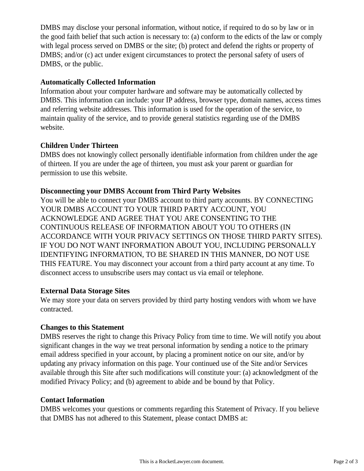DMBS may disclose your personal information, without notice, if required to do so by law or in the good faith belief that such action is necessary to: (a) conform to the edicts of the law or comply with legal process served on DMBS or the site; (b) protect and defend the rights or property of DMBS; and/or (c) act under exigent circumstances to protect the personal safety of users of DMBS, or the public.

# **Automatically Collected Information**

Information about your computer hardware and software may be automatically collected by DMBS. This information can include: your IP address, browser type, domain names, access times and referring website addresses. This information is used for the operation of the service, to maintain quality of the service, and to provide general statistics regarding use of the DMBS website.

# **Children Under Thirteen**

DMBS does not knowingly collect personally identifiable information from children under the age of thirteen. If you are under the age of thirteen, you must ask your parent or guardian for permission to use this website.

#### **Disconnecting your DMBS Account from Third Party Websites**

You will be able to connect your DMBS account to third party accounts. BY CONNECTING YOUR DMBS ACCOUNT TO YOUR THIRD PARTY ACCOUNT, YOU ACKNOWLEDGE AND AGREE THAT YOU ARE CONSENTING TO THE CONTINUOUS RELEASE OF INFORMATION ABOUT YOU TO OTHERS (IN ACCORDANCE WITH YOUR PRIVACY SETTINGS ON THOSE THIRD PARTY SITES). IF YOU DO NOT WANT INFORMATION ABOUT YOU, INCLUDING PERSONALLY IDENTIFYING INFORMATION, TO BE SHARED IN THIS MANNER, DO NOT USE THIS FEATURE. You may disconnect your account from a third party account at any time. To disconnect access to unsubscribe users may contact us via email or telephone.

# **External Data Storage Sites**

We may store your data on servers provided by third party hosting vendors with whom we have contracted.

#### **Changes to this Statement**

DMBS reserves the right to change this Privacy Policy from time to time. We will notify you about significant changes in the way we treat personal information by sending a notice to the primary email address specified in your account, by placing a prominent notice on our site, and/or by updating any privacy information on this page. Your continued use of the Site and/or Services available through this Site after such modifications will constitute your: (a) acknowledgment of the modified Privacy Policy; and (b) agreement to abide and be bound by that Policy.

#### **Contact Information**

DMBS welcomes your questions or comments regarding this Statement of Privacy. If you believe that DMBS has not adhered to this Statement, please contact DMBS at: